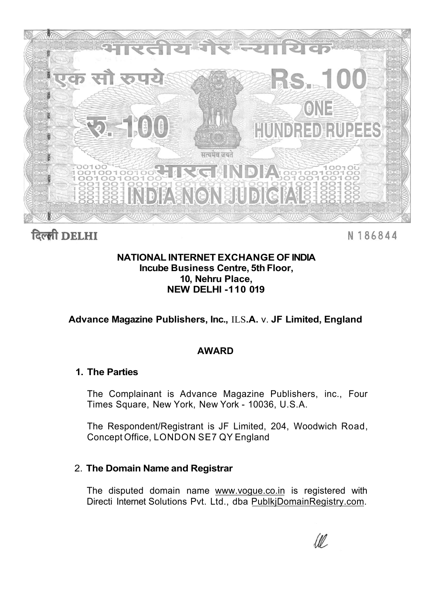

दिल्ली DELHI

N 186844

## **NATIONAL INTERNET EXCHANGE OF INDIA Incube Business Centre, 5th Floor, 10, Nehru Place, NEW DELHI -110 019**

**Advance Magazine Publishers, Inc.,** ILS**.A.** v. **JF Limited, England** 

# **AWARD**

## **1. The Parties**

The Complainant is Advance Magazine Publishers, inc., Four Times Square, New York, New York - 10036, U.S.A.

The Respondent/Registrant is JF Limited, 204, Woodwich Road, Concept Office, LONDON SE7 QY England

# 2. **The Domain Name and Registrar**

The disputed domain name [www.vogue.co.in i](http://www.vogue.co.in)s registered with Directi Internet Solutions Pvt. Ltd., dba [PublkjDomainRegistry.com.](http://PublkjDomainRegistry.com)

W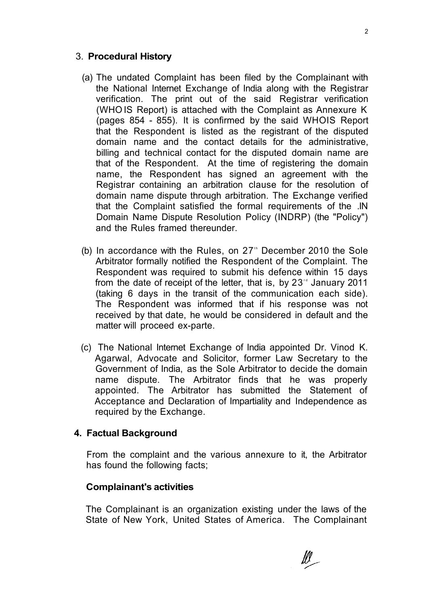#### 3. **Procedural History**

- (a) The undated Complaint has been filed by the Complainant with the National Internet Exchange of India along with the Registrar verification. The print out of the said Registrar verification (WHO IS Report) is attached with the Complaint as Annexure K (pages 854 - 855). It is confirmed by the said WHOIS Report that the Respondent is listed as the registrant of the disputed domain name and the contact details for the administrative, billing and technical contact for the disputed domain name are that of the Respondent. At the time of registering the domain name, the Respondent has signed an agreement with the Registrar containing an arbitration clause for the resolution of domain name dispute through arbitration. The Exchange verified that the Complaint satisfied the formal requirements of the .IN Domain Name Dispute Resolution Policy (INDRP) (the "Policy") and the Rules framed thereunder.
- (b) In accordance with the Rules, on  $27<sup>th</sup>$  December 2010 the Sole Arbitrator formally notified the Respondent of the Complaint. The Respondent was required to submit his defence within 15 days from the date of receipt of the letter, that is, by  $23<sup>nd</sup>$  January 2011 (taking 6 days in the transit of the communication each side). The Respondent was informed that if his response was not received by that date, he would be considered in default and the matter will proceed ex-parte.
- (c) The National Internet Exchange of India appointed Dr. Vinod K. Agarwal, Advocate and Solicitor, former Law Secretary to the Government of India, as the Sole Arbitrator to decide the domain name dispute. The Arbitrator finds that he was properly appointed. The Arbitrator has submitted the Statement of Acceptance and Declaration of Impartiality and Independence as required by the Exchange.

#### **4. Factual Background**

From the complaint and the various annexure to it, the Arbitrator has found the following facts;

#### **Complainant's activities**

The Complainant is an organization existing under the laws of the State of New York, United States of America. The Complainant

 $\mathbb{N}_-$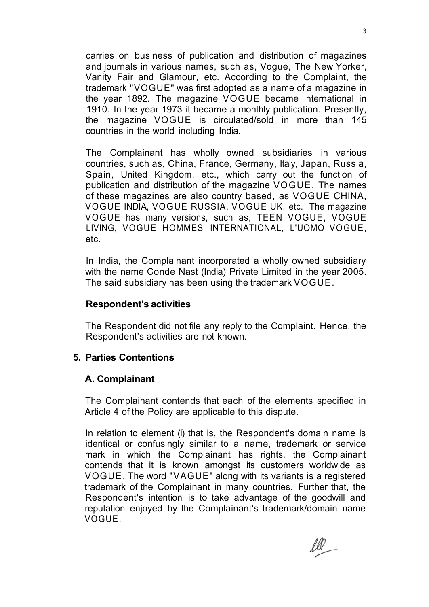carries on business of publication and distribution of magazines and journals in various names, such as, Vogue, The New Yorker, Vanity Fair and Glamour, etc. According to the Complaint, the trademark "VOGUE" was first adopted as a name of a magazine in the year 1892. The magazine VOGUE became international in 1910. In the year 1973 it became a monthly publication. Presently, the magazine VOGUE is circulated/sold in more than 145 countries in the world including India.

The Complainant has wholly owned subsidiaries in various countries, such as, China, France, Germany, Italy, Japan, Russia, Spain, United Kingdom, etc., which carry out the function of publication and distribution of the magazine VOGUE. The names of these magazines are also country based, as VOGUE CHINA, VOGUE INDIA, VOGUE RUSSIA, VOGUE UK, etc. The magazine VOGUE has many versions, such as, TEEN VOGUE, VOGUE LIVING, VOGUE HOMMES INTERNATIONAL, L'UOMO VOGUE, etc.

In India, the Complainant incorporated a wholly owned subsidiary with the name Conde Nast (India) Private Limited in the year 2005. The said subsidiary has been using the trademark VOGUE.

#### **Respondent's activities**

The Respondent did not file any reply to the Complaint. Hence, the Respondent's activities are not known.

## **5. Parties Contentions**

## **A. Complainant**

The Complainant contends that each of the elements specified in Article 4 of the Policy are applicable to this dispute.

In relation to element (i) that is, the Respondent's domain name is identical or confusingly similar to a name, trademark or service mark in which the Complainant has rights, the Complainant contends that it is known amongst its customers worldwide as VOGUE. The word "VAGUE" along with its variants is a registered trademark of the Complainant in many countries. Further that, the Respondent's intention is to take advantage of the goodwill and reputation enjoyed by the Complainant's trademark/domain name VOGUE.

ll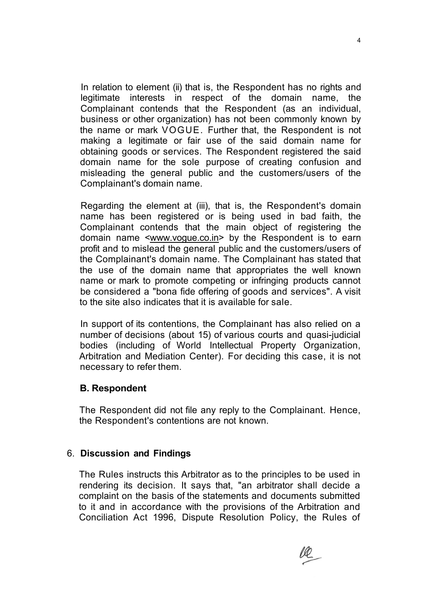In relation to element (ii) that is, the Respondent has no rights and legitimate interests in respect of the domain name, the Complainant contends that the Respondent (as an individual, business or other organization) has not been commonly known by the name or mark VOGUE. Further that, the Respondent is not making a legitimate or fair use of the said domain name for obtaining goods or services. The Respondent registered the said domain name for the sole purpose of creating confusion and misleading the general public and the customers/users of the Complainant's domain name.

Regarding the element at (iii), that is, the Respondent's domain name has been registered or is being used in bad faith, the Complainant contends that the main object of registering the domain name [<www.vogue.co.in>](http://www.vogue.co.in) by the Respondent is to earn profit and to mislead the general public and the customers/users of the Complainant's domain name. The Complainant has stated that the use of the domain name that appropriates the well known name or mark to promote competing or infringing products cannot be considered a "bona fide offering of goods and services". A visit to the site also indicates that it is available for sale.

In support of its contentions, the Complainant has also relied on a number of decisions (about 15) of various courts and quasi-judicial bodies (including of World Intellectual Property Organization, Arbitration and Mediation Center). For deciding this case, it is not necessary to refer them.

#### **B. Respondent**

The Respondent did not file any reply to the Complainant. Hence, the Respondent's contentions are not known.

#### 6. **Discussion and Findings**

The Rules instructs this Arbitrator as to the principles to be used in rendering its decision. It says that, "an arbitrator shall decide a complaint on the basis of the statements and documents submitted to it and in accordance with the provisions of the Arbitration and Conciliation Act 1996, Dispute Resolution Policy, the Rules of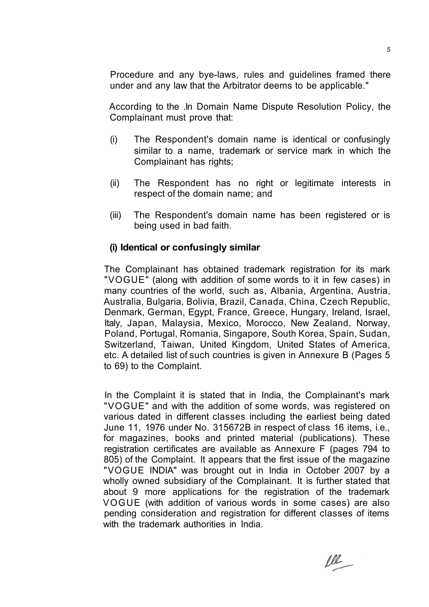Procedure and any bye-laws, rules and guidelines framed there under and any law that the Arbitrator deems to be applicable."

According to the .In Domain Name Dispute Resolution Policy, the Complainant must prove that:

- (i) The Respondent's domain name is identical or confusingly similar to a name, trademark or service mark in which the Complainant has rights;
- (ii) The Respondent has no right or legitimate interests in respect of the domain name; and
- (iii) The Respondent's domain name has been registered or is being used in bad faith.

# **(i) Identical or confusingly similar**

The Complainant has obtained trademark registration for its mark "VOGUE" (along with addition of some words to it in few cases) in many countries of the world, such as, Albania, Argentina, Austria, Australia, Bulgaria, Bolivia, Brazil, Canada, China, Czech Republic, Denmark, German, Egypt, France, Greece, Hungary, Ireland, Israel, Italy, Japan, Malaysia, Mexico, Morocco, New Zealand, Norway, Poland, Portugal, Romania, Singapore, South Korea, Spain, Sudan, Switzerland, Taiwan, United Kingdom, United States of America, etc. A detailed list of such countries is given in Annexure B (Pages 5 to 69) to the Complaint.

In the Complaint it is stated that in India, the Complainant's mark "VOGUE" and with the addition of some words, was registered on various dated in different classes including the earliest being dated June 11, 1976 under No. 315672B in respect of class 16 items, i.e., for magazines, books and printed material (publications). These registration certificates are available as Annexure F (pages 794 to 805) of the Complaint. It appears that the first issue of the magazine "VOGUE INDIA" was brought out in India in October 2007 by a wholly owned subsidiary of the Complainant. It is further stated that about 9 more applications for the registration of the trademark VOGUE (with addition of various words in some cases) are also pending consideration and registration for different classes of items with the trademark authorities in India.

ll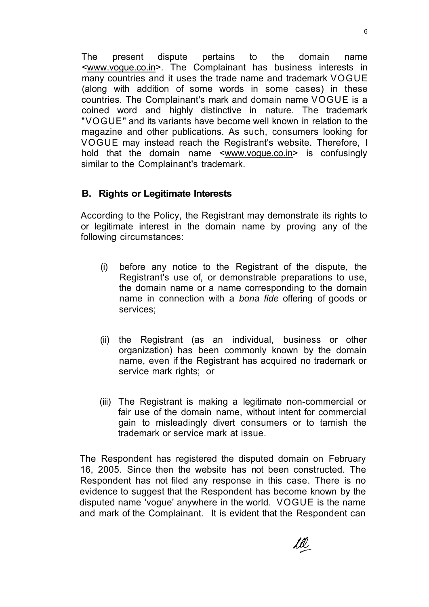The present dispute pertains to the domain name [<www.vogue.co.in>.](http://www.vogue.co.in) The Complainant has business interests in many countries and it uses the trade name and trademark VOGUE (along with addition of some words in some cases) in these countries. The Complainant's mark and domain name VOGUE is a coined word and highly distinctive in nature. The trademark "VOGUE" and its variants have become well known in relation to the magazine and other publications. As such, consumers looking for VOGUE may instead reach the Registrant's website. Therefore, I hold that the domain name [<www.vogue.co.in>](http://www.vogue.co.in) is confusingly similar to the Complainant's trademark.

#### **B. Rights or Legitimate Interests**

According to the Policy, the Registrant may demonstrate its rights to or legitimate interest in the domain name by proving any of the following circumstances:

- (i) before any notice to the Registrant of the dispute, the Registrant's use of, or demonstrable preparations to use, the domain name or a name corresponding to the domain name in connection with a *bona fide* offering of goods or services;
- (ii) the Registrant (as an individual, business or other organization) has been commonly known by the domain name, even if the Registrant has acquired no trademark or service mark rights; or
- (iii) The Registrant is making a legitimate non-commercial or fair use of the domain name, without intent for commercial gain to misleadingly divert consumers or to tarnish the trademark or service mark at issue.

The Respondent has registered the disputed domain on February 16, 2005. Since then the website has not been constructed. The Respondent has not filed any response in this case. There is no evidence to suggest that the Respondent has become known by the disputed name 'vogue' anywhere in the world. VOGUE is the name and mark of the Complainant. It is evident that the Respondent can

<u>fr</u>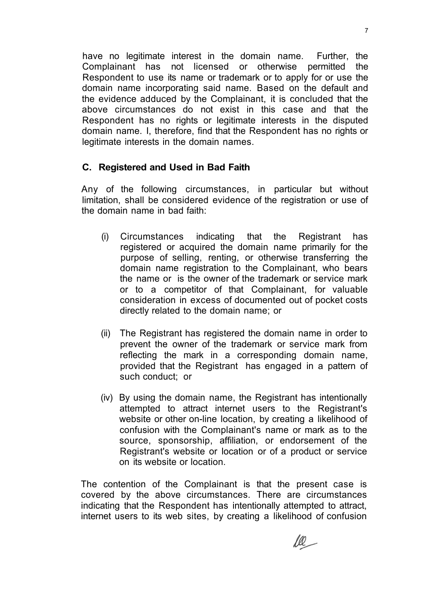have no legitimate interest in the domain name. Further, the Complainant has not licensed or otherwise permitted the Respondent to use its name or trademark or to apply for or use the domain name incorporating said name. Based on the default and the evidence adduced by the Complainant, it is concluded that the above circumstances do not exist in this case and that the Respondent has no rights or legitimate interests in the disputed domain name. I, therefore, find that the Respondent has no rights or legitimate interests in the domain names.

## **C. Registered and Used in Bad Faith**

Any of the following circumstances, in particular but without limitation, shall be considered evidence of the registration or use of the domain name in bad faith:

- (i) Circumstances indicating that the Registrant has registered or acquired the domain name primarily for the purpose of selling, renting, or otherwise transferring the domain name registration to the Complainant, who bears the name or is the owner of the trademark or service mark or to a competitor of that Complainant, for valuable consideration in excess of documented out of pocket costs directly related to the domain name; or
- (ii) The Registrant has registered the domain name in order to prevent the owner of the trademark or service mark from reflecting the mark in a corresponding domain name, provided that the Registrant has engaged in a pattern of such conduct; or
- (iv) By using the domain name, the Registrant has intentionally attempted to attract internet users to the Registrant's website or other on-line location, by creating a likelihood of confusion with the Complainant's name or mark as to the source, sponsorship, affiliation, or endorsement of the Registrant's website or location or of a product or service on its website or location.

The contention of the Complainant is that the present case is covered by the above circumstances. There are circumstances indicating that the Respondent has intentionally attempted to attract, internet users to its web sites, by creating a likelihood of confusion

le